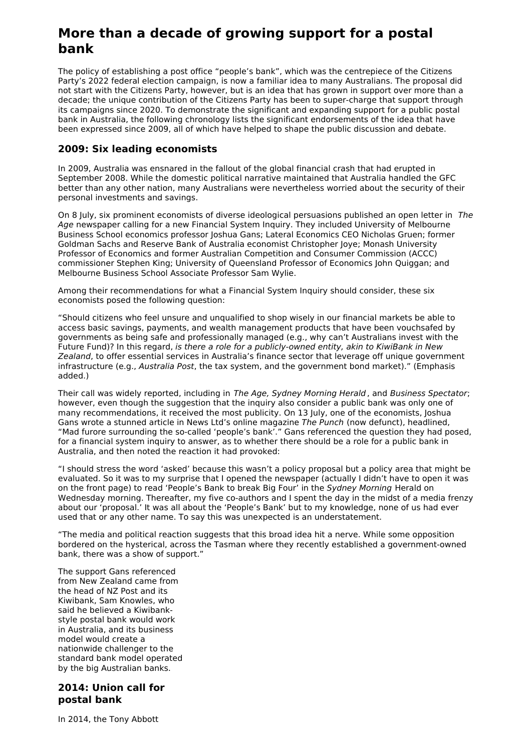# **More than a decade of growing support for a postal bank**

The policy of establishing a post office "people's bank", which was the centrepiece of the Citizens Party's 2022 federal election campaign, is now a familiar idea to many Australians. The proposal did not start with the Citizens Party, however, but is an idea that has grown in support over more than a decade; the unique contribution of the Citizens Party has been to super-charge that support through its campaigns since 2020. To demonstrate the significant and expanding support for a public postal bank in Australia, the following chronology lists the significant endorsements of the idea that have been expressed since 2009, all of which have helped to shape the public discussion and debate.

### **2009: Six leading economists**

In 2009, Australia was ensnared in the fallout of the global financial crash that had erupted in September 2008. While the domestic political narrative maintained that Australia handled the GFC better than any other nation, many Australians were nevertheless worried about the security of their personal investments and savings.

On 8 July, six prominent economists of diverse ideological persuasions published an open letter in The Age newspaper calling for a new Financial System Inquiry. They included University of Melbourne Business School economics professor Joshua Gans; Lateral Economics CEO Nicholas Gruen; former Goldman Sachs and Reserve Bank of Australia economist Christopher Joye; Monash University Professor of Economics and former Australian Competition and Consumer Commission (ACCC) commissioner Stephen King; University of Queensland Professor of Economics John Quiggan; and Melbourne Business School Associate Professor Sam Wylie.

Among their recommendations for what a Financial System Inquiry should consider, these six economists posed the following question:

"Should citizens who feel unsure and unqualified to shop wisely in our financial markets be able to access basic savings, payments, and wealth management products that have been vouchsafed by governments as being safe and professionally managed (e.g., why can't Australians invest with the Future Fund)? In this regard, is there a role for a publicly-owned entity, akin to KiwiBank in New Zealand, to offer essential services in Australia's finance sector that leverage off unique government infrastructure (e.g., Australia Post, the tax system, and the government bond market)." (Emphasis added.)

Their call was widely reported, including in The Age, Sydney Morning Herald , and Business Spectator; however, even though the suggestion that the inquiry also consider a public bank was only one of many recommendations, it received the most publicity. On 13 July, one of the economists, Joshua Gans wrote a stunned article in News Ltd's online magazine The Punch (now defunct), headlined, "Mad furore surrounding the so-called 'people's bank'." Gans referenced the question they had posed, for a financial system inquiry to answer, as to whether there should be a role for a public bank in Australia, and then noted the reaction it had provoked:

"I should stress the word 'asked' because this wasn't a policy proposal but a policy area that might be evaluated. So it was to my surprise that I opened the newspaper (actually I didn't have to open it was on the front page) to read 'People's Bank to break Big Four' in the Sydney Morning Herald on Wednesday morning. Thereafter, my five co-authors and I spent the day in the midst of a media frenzy about our 'proposal.' It was all about the 'People's Bank' but to my knowledge, none of us had ever used that or any other name. To say this was unexpected is an understatement.

"The media and political reaction suggests that this broad idea hit a nerve. While some opposition bordered on the hysterical, across the Tasman where they recently established a government-owned bank, there was a show of support."

The support Gans referenced from New Zealand came from the head of NZ Post and its Kiwibank, Sam Knowles, who said he believed a Kiwibankstyle postal bank would work in Australia, and its business model would create a nationwide challenger to the standard bank model operated by the big Australian banks.

#### **2014: Union call for postal bank**

In 2014, the Tony Abbott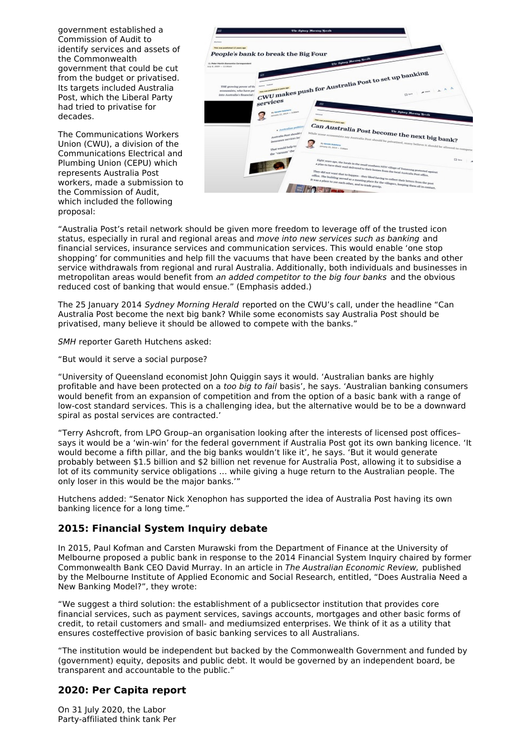government established a Commission of Audit to identify services and assets of the Commonwealth government that could be cut from the budget or privatised. Its targets included Australia Post, which the Liberal Party had tried to privatise for decades.

The Communications Workers Union (CWU), a division of the Communications Electrical and Plumbing Union (CEPU) which represents Australia Post workers, made a submission to the Commission of Audit, which included the following proposal:



"Australia Post's retail network should be given more freedom to leverage off of the trusted icon status, especially in rural and regional areas and move into new services such as banking and financial services, insurance services and communication services. This would enable 'one stop shopping' for communities and help fill the vacuums that have been created by the banks and other service withdrawals from regional and rural Australia. Additionally, both individuals and businesses in metropolitan areas would benefit from an added competitor to the big four banks and the obvious reduced cost of banking that would ensue." (Emphasis added.)

The 25 January 2014 Sydney Morning Herald reported on the CWU's call, under the headline "Can Australia Post become the next big bank? While some economists say Australia Post should be privatised, many believe it should be allowed to compete with the banks."

SMH reporter Gareth Hutchens asked:

"But would it serve a social purpose?

"University of Queensland economist John Quiggin says it would. 'Australian banks are highly profitable and have been protected on a too big to fail basis', he says. 'Australian banking consumers would benefit from an expansion of competition and from the option of a basic bank with a range of low-cost standard services. This is a challenging idea, but the alternative would be to be a downward spiral as postal services are contracted.'

"Terry Ashcroft, from LPO Group–an organisation looking after the interests of licensed post offices– says it would be a 'win-win' for the federal government if Australia Post got its own banking licence. 'It would become a fifth pillar, and the big banks wouldn't like it', he says. 'But it would generate probably between \$1.5 billion and \$2 billion net revenue for Australia Post, allowing it to subsidise a lot of its community service obligations … while giving a huge return to the Australian people. The only loser in this would be the major banks.'"

Hutchens added: "Senator Nick Xenophon has supported the idea of Australia Post having its own banking licence for a long time."

#### **2015: Financial System Inquiry debate**

In 2015, Paul Kofman and Carsten Murawski from the Department of Finance at the University of Melbourne proposed a public bank in response to the 2014 Financial System Inquiry chaired by former Commonwealth Bank CEO David Murray. In an article in The Australian Economic Review, published by the Melbourne Institute of Applied Economic and Social Research, entitled, "Does Australia Need a New Banking Model?", they wrote:

"We suggest a third solution: the establishment of a publicsector institution that provides core financial services, such as payment services, savings accounts, mortgages and other basic forms of credit, to retail customers and small- and mediumsized enterprises. We think of it as a utility that ensures costeffective provision of basic banking services to all Australians.

"The institution would be independent but backed by the Commonwealth Government and funded by (government) equity, deposits and public debt. It would be governed by an independent board, be transparent and accountable to the public."

#### **2020: Per Capita report**

On 31 July 2020, the Labor Party-affiliated think tank Per